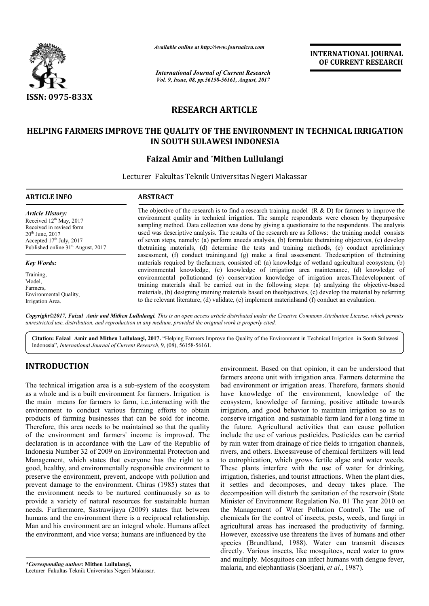

*Available online at http://www.journal http://www.journalcra.com*

*International Journal of Current Research Vol. 9, Issue, 08, pp.56158-56161, August, 2017* **INTERNATIONAL JOURNAL OF CURRENT RESEARCH** 

# **RESEARCH ARTICLE**

### **HELPING FARMERS IMPROVE THE QUALITY OF THE ENVIRONMENT IN TECHNICAL IRRIGATION IN SOUTH SULAWESI INDONESIA**

## **Faizal Amir and \*Mithen Lullulangi**

Lecturer Fakultas Teknik Universitas Negeri Makassar

| <b>ARTICLE INFO</b>                                                                                                                                                                     | <b>ABSTRACT</b>                                                                                                                                                                                                                                                                                                                                                                                                                                                                                                                                                                                                                                                                                                                                                                                                                                                                                                                                                                                                                                                                                                                                                                                                                                                                                                                                                            |
|-----------------------------------------------------------------------------------------------------------------------------------------------------------------------------------------|----------------------------------------------------------------------------------------------------------------------------------------------------------------------------------------------------------------------------------------------------------------------------------------------------------------------------------------------------------------------------------------------------------------------------------------------------------------------------------------------------------------------------------------------------------------------------------------------------------------------------------------------------------------------------------------------------------------------------------------------------------------------------------------------------------------------------------------------------------------------------------------------------------------------------------------------------------------------------------------------------------------------------------------------------------------------------------------------------------------------------------------------------------------------------------------------------------------------------------------------------------------------------------------------------------------------------------------------------------------------------|
| <b>Article History:</b><br>Received $12th$ May, 2017<br>Received in revised form<br>$20th$ June, $2017$<br>Accepted $17th$ July, 2017<br>Published online 31 <sup>st</sup> August, 2017 | The objective of the research is to find a research training model $(R & D)$ for farmers to improve the<br>environment quality in technical irrigation. The sample respondents were chosen by the purposive<br>sampling method. Data collection was done by giving a questionaire to the respondents. The analysis<br>used was descriptive analysis. The results of the research are as follows: the training model consists<br>of seven steps, namely: (a) perform aneeds analysis, (b) formulate the training objectives, (c) develop<br>thetraining materials, (d) determine the tests and training methods, (e) conduct apreliminary<br>assessment, (f) conduct training, and (g) make a final assessment. The description of the training<br>materials required by the farmers, consisted of: (a) knowledge of wetland agricultural ecosystem, (b)<br>environmental knowledge, (c) knowledge of irrigation area maintenance, (d) knowledge of<br>environmental pollutionand (e) conservation knowledge of irrigation areas. The development of<br>training materials shall be carried out in the following steps: (a) analyzing the objective-based<br>materials, (b) designing training materials based on the objectives, (c) develop the material by referring<br>to the relevant literature, (d) validate, (e) implement materials and (f) conduct an evaluation. |
| <b>Key Words:</b>                                                                                                                                                                       |                                                                                                                                                                                                                                                                                                                                                                                                                                                                                                                                                                                                                                                                                                                                                                                                                                                                                                                                                                                                                                                                                                                                                                                                                                                                                                                                                                            |
| Training.<br>Model.<br>Farmers.<br>Environmental Quality,<br>Irrigation Area.                                                                                                           |                                                                                                                                                                                                                                                                                                                                                                                                                                                                                                                                                                                                                                                                                                                                                                                                                                                                                                                                                                                                                                                                                                                                                                                                                                                                                                                                                                            |

Copyright©2017, Faizal Amir and Mithen Lullulangi. This is an open access article distributed under the Creative Commons Attribution License, which permits *unrestricted use, distribution, and reproduction in any medium, provided the original work is properly cited.*

Citation: Faizal Amir and Mithen Lullulangi, 2017. "Helping Farmers Improve the Quality of the Environment in Technical Irrigation in South Sulawesi Indonesia", *International Journal of Current Research* , 9, (08), 56158-56161.

## **INTRODUCTION**

The technical irrigation area is a sub-system of the ecosystem as a whole and is a built environment for farmers. Irrigation is the main means for farmers to farm, i.e.,interacting with the environment to conduct various farming efforts to obtain products of farming businesses that can be sold for income. Therefore, this area needs to be maintained so that the quality of the environment and farmers' income is improved. The declaration is in accordance with the Law of the Republic of Indonesia Number 32 of 2009 on Environmental Protection and Management, which states that everyone has the right to a good, healthy, and environmentally responsible environment to preserve the environment, prevent, andcope with pollution and prevent damage to the environment. Chiras (1985) states that the environment needs to be nurtured continuously so as to provide a variety of natural resources for sustainable human needs. Furthermore, Sastrawijaya (2009) states that between humans and the environment there is a reciprocal relationship. Man and his environment are an integral whole. Humans affect the environment, and vice versa; humans are influenced by the interacting with the<br>g efforts to obtain<br>be sold for income.<br>d so that the quality

*\*Corresponding author:* **Mithen Lullulangi,** Lecturer Fakultas Teknik Universitas Negeri Makassar.

environment. Based on that opinion<br>farmers are unit with irrigation a<br>sor farmers. Irrigation is<br>have knowledge of the environ<br>i.e., interacting with the<br>ecosystem, knowledge of farming,<br>ming efforts to obtain<br>irrigation, farmers areone unit with irrigation area. Farmers determine the bad environment or irrigation areas. Therefore, farmers should have knowledge of the environment, knowledge of the ecosystem, knowledge of farming, positive attitude towards ecosystem, knowledge of farming, positive attitude towards irrigation, and good behavior to maintain irrigation so as to conserve irrigation and sustainable farm land for a long time in the future. Agricultural activities that can cause pollution the future. Agricultural activities that can cause pollution include the use of various pesticides. Pesticides can be carried by rain water from drainage of rice fields to irrigation channels, rivers, and others. Excessiveuse of chemical fertilizers will lead to eutrophication, which grows fertile algae and water weeds. These plants interfere with the use of water for drinking, irrigation, fisheries, and tourist attractions. When the plant dies, it settles and decomposes, and decay takes place. The decomposition will disturb the sanitation of the reservoir (State Minister of Environment Regulation No. 01 The year 2010 on rivers, and others. Excessiveuse of chemical fertilizers will lead<br>to eutrophication, which grows fertile algae and water weeds.<br>These plants interfere with the use of water for drinking,<br>irrigation, fisheries, and tourist chemicals for the control of insects, pests, weeds, and fungi in agricultural areas has increased the productivity of farming. However, excessive use threatens the lives of humans and other species (Brundtland, 1988). Water can transmit diseases directly. Various insects, like mosquitoes, need water to grow and multiply. Mosquitoes can infect humans with dengue fever, malaria, and elephantiasis (Soerjani, *et al*., 1987). environment. Based on that opinion, it can be understood that one unit with irrigation area. Farmers determine the nment or irrigation areas. Therefore, farmers should vledge of the environment, knowledge of the chemicals for the control of insects, pests, weeds, and fungi in agricultural areas has increased the productivity of farming. However, excessive use threatens the lives of humans and other species (Brundtland, 1988). Wate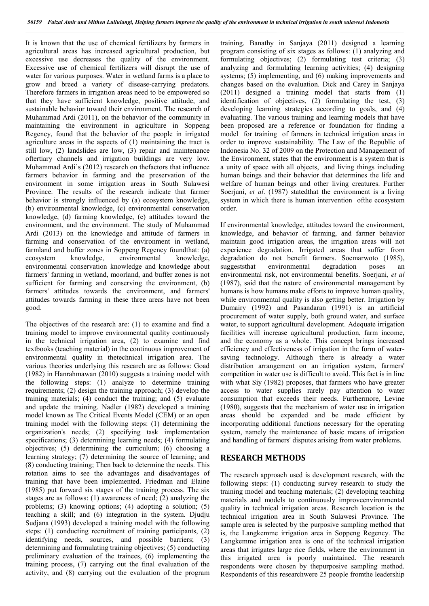It is known that the use of chemical fertilizers by farmers in agricultural areas has increased agricultural production, but excessive use decreases the quality of the environment. Excessive use of chemical fertilizers will disrupt the use of water for various purposes. Water in wetland farms is a place to grow and breed a variety of disease-carrying predators. Therefore farmers in irrigation areas need to be empowered so that they have sufficient knowledge, positive attitude, and sustainable behavior toward their environment. The research of Muhammad Ardi (2011), on the behavior of the community in maintaining the environment in agriculture in Soppeng Regency, found that the behavior of the people in irrigated agriculture areas in the aspects of (1) maintaining the tract is still low, (2) landslides are low, (3) repair and maintenance oftertiary channels and irrigation buildings are very low. Muhammad Ardi's (2012) research on thefactors that influence farmers behavior in farming and the preservation of the environment in some irrigation areas in South Sulawesi Province. The results of the research indicate that farmer behavior is strongly influenced by (a) ecosystem knowledge, (b) environmental knowledge, (c) environmental conservation knowledge, (d) farming knowledge, (e) attitudes toward the environment, and the environment. The study of Muhammad Ardi (2013) on the knowledge and attitude of farmers in farming and conservation of the environment in wetland, farmland and buffer zones in Soppeng Regency foundthat: (a) ecosystem knowledge, environmental knowledge, environmental conservation knowledge and knowledge about farmers' farming in wetland, moorland, and buffer zones is not sufficient for farming and conserving the environment, (b) farmers' attitudes towards the environment, and farmers' attitudes towards farming in these three areas have not been good.

The objectives of the research are: (1) to examine and find a training model to improve environmental quality continuously in the technical irrigation area, (2) to examine and find textbooks (teaching material) in the continuous improvement of environmental quality in thetechnical irrigation area. The various theories underlying this research are as follows: Goad (1982) in Hanrahmawan (2010) suggests a training model with the following steps: (1) analyze to determine training requirements; (2) design the training approach; (3) develop the training materials; (4) conduct the training; and (5) evaluate and update the training. Nadler (1982) developed a training model known as The Critical Events Model (CEM) or an open training model with the following steps: (1) determining the organization's needs; (2) specifying task implementation specifications; (3) determining learning needs; (4) formulating objectives; (5) determining the curriculum; (6) choosing a learning strategy; (7) determining the source of learning; and (8) conducting training; Then back to determine the needs. This rotation aims to see the advantages and disadvantages of training that have been implemented. Friedman and Elaine (1985) put forward six stages of the training process. The six stages are as follows: (1) awareness of need; (2) analyzing the problems; (3) knowing options; (4) adopting a solution; (5) teaching a skill; and (6) integration in the system. Djudju Sudjana (1993) developed a training model with the following steps: (1) conducting recruitment of training participants, (2) identifying needs, sources, and possible barriers; (3) determining and formulating training objectives; (5) conducting preliminary evaluation of the trainees, (6) implementing the training process, (7) carrying out the final evaluation of the activity, and (8) carrying out the evaluation of the program

training. Banathy in Sanjaya (2011) designed a learning program consisting of six stages as follows: (1) analyzing and formulating objectives; (2) formulating test criteria; (3) analyzing and formulating learning activities; (4) designing systems; (5) implementing, and (6) making improvements and changes based on the evaluation. Dick and Carey in Sanjaya (2011) designed a training model that starts from (1) identification of objectives, (2) formulating the test, (3) developing learning strategies according to goals, and (4) evaluating. The various training and learning models that have been proposed are a reference or foundation for finding a model for training of farmers in technical irrigation areas in order to improve sustainability. The Law of the Republic of Indonesia No. 32 of 2009 on the Protection and Management of the Environment, states that the environment is a system that is a unity of space with all objects, and living things including human beings and their behavior that determines the life and welfare of human beings and other living creatures. Further Soerjani, *et al*. (1987) statedthat the environment is a living system in which there is human intervention ofthe ecosystem order.

If environmental knowledge, attitudes toward the environment, knowledge, and behavior of farming, and farmer behavior maintain good irrigation areas, the irrigation areas will not experience degradation. Irrigated areas that suffer from degradation do not benefit farmers. Soemarwoto (1985), suggeststhat environmental degradation poses an environmental risk, not environmental benefits. Soerjani, *et al* (1987), said that the nature of environmental management by humans is how humans make efforts to improve human quality, while environmental quality is also getting better. Irrigation by Dumairy (1992) and Pasandaran (1991) is an artificial procurement of water supply, both ground water, and surface water, to support agricultural development. Adequate irrigation facilities will increase agricultural production, farm income, and the economy as a whole. This concept brings increased efficiency and effectiveness of irrigation in the form of watersaving technology. Although there is already a water distribution arrangement on an irrigation system, farmers' competition in water use is difficult to avoid. This fact is in line with what Siy (1982) proposes, that farmers who have greater access to water supplies rarely pay attention to water consumption that exceeds their needs. Furthermore, Levine (1980), suggests that the mechanism of water use in irrigation areas should be expanded and be made efficient by incorporating additional functions necessary for the operating system, namely the maintenance of basic means of irrigation and handling of farmers' disputes arising from water problems.

#### **RESEARCH METHODS**

The research approach used is development research, with the following steps: (1) conducting survey research to study the training model and teaching materials; (2) developing teaching materials and models to continuously improveenvironmental quality in technical irrigation areas. Research location is the technical irrigation area in South Sulawesi Province. The sample area is selected by the purposive sampling method that is, the Langkemme irrigation area in Soppeng Regency. The Langkemme irrigation area is one of the technical irrigation areas that irrigates large rice fields, where the environment in this irrigated area is poorly maintained. The research respondents were chosen by thepurposive sampling method. Respondents of this researchwere 25 people fromthe leadership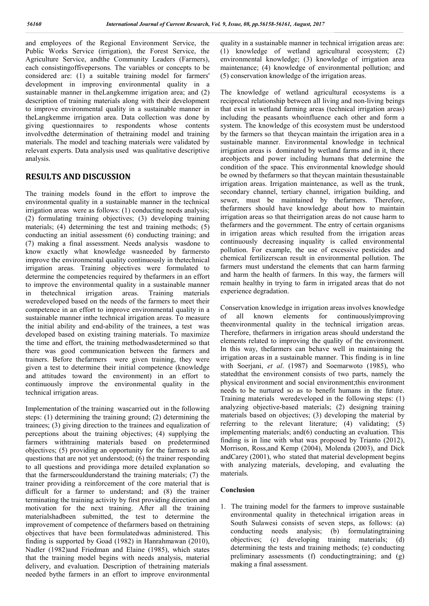and employees of the Regional Environment Service, the Public Works Service (irrigation), the Forest Service, the Agriculture Service, andthe Community Leaders (Farmers), each consistingoffivepersons. The variables or concepts to be considered are: (1) a suitable training model for farmers' development in improving environmental quality in a sustainable manner in theLangkemme irrigation area; and (2) description of training materials along with their development to improve environmental quality in a sustainable manner in theLangkemme irrigation area. Data collection was done by giving questionnaires to respondents whose contents involvedthe determination of thetraining model and training materials. The model and teaching materials were validated by relevant experts. Data analysis used was qualitative descriptive analysis.

### **RESULTS AND DISCUSSION**

The training models found in the effort to improve the environmental quality in a sustainable manner in the technical irrigation areas were as follows: (1) conducting needs analysis; (2) formulating training objectives; (3) developing training materials; (4) determining the test and training methods; (5) conducting an initial assessment (6) conducting training; and (7) making a final assessment. Needs analysis wasdone to know exactly what knowledge wasneeded by farmersto improve the environmental quality continuously in thetechnical irrigation areas. Training objectives were formulated to determine the competencies required by thefarmers in an effort to improve the environmental quality in a sustainable manner in thetechnical irrigation areas. Training materials weredeveloped based on the needs of the farmers to meet their competence in an effort to improve environmental quality in a sustainable manner inthe technical irrigation areas. To measure the initial ability and end-ability of the trainees, a test was developed based on existing training materials. To maximize the time and effort, the training methodwasdetermined so that there was good communication between the farmers and trainers. Before thefarmers were given training, they were given a test to determine their initial competence (knowledge and attitudes toward the environment) in an effort to continuously improve the environmental quality in the technical irrigation areas.

Implementation of the training wascarried out in the following steps: (1) determining the training ground; (2) determining the trainees; (3) giving direction to the trainees and equalization of perceptions about the training objectives; (4) supplying the farmers withtraining materials based on predetermined objectives; (5) providing an opportunity for the farmers to ask questions that are not yet understood; (6) the trainer responding to all questions and providinga more detailed explanation so that the farmerscouldunderstand the training materials; (7) the trainer providing a reinforcement of the core material that is difficult for a farmer to understand; and (8) the trainer terminating the training activity by first providing direction and motivation for the next training. After all the training materialshadbeen submitted, the test to determine the improvement of competence of thefarmers based on thetraining objectives that have been formulatedwas administered. This finding is supported by Goad (1982) in Hanrahmawan (2010), Nadler (1982)and Friedman and Elaine (1985), which states that the training model begins with needs analysis, material delivery, and evaluation. Description of thetraining materials needed bythe farmers in an effort to improve environmental

quality in a sustainable manner in technical irrigation areas are: (1) knowledge of wetland agricultural ecosystem; (2) environmental knowledge; (3) knowledge of irrigation area maintenance; (4) knowledge of environmental pollution; and (5) conservation knowledge of the irrigation areas.

The knowledge of wetland agricultural ecosystems is a reciprocal relationship between all living and non-living beings that exist in wetland farming areas (technical irrigation areas) including the peasants whoinfluence each other and form a system. The knowledge of this ecosystem must be understood by the farmers so that theycan maintain the irrigation area in a sustainable manner. Environmental knowledge in technical irrigation areas is dominated by wetland farms and in it, there areobjects and power including humans that determine the condition of the space. This environmental knowledge should be owned by thefarmers so that theycan maintain thesustainable irrigation areas. Irrigation maintenance, as well as the trunk, secondary channel, tertiary channel, irrigation building, and sewer, must be maintained by thefarmers. Therefore, thefarmers should have knowledge about how to maintain irrigation areas so that theirrigation areas do not cause harm to thefarmers and the government. The entry of certain organisms in irrigation areas which resulted from the irrigation areas continuously decreasing inquality is called environmental pollution. For example, the use of excessive pesticides and chemical fertilizerscan result in environmental pollution. The farmers must understand the elements that can harm farming and harm the health of farmers. In this way, the farmers will remain healthy in trying to farm in irrigated areas that do not experience degradation.

Conservation knowledge in irrigation areas involves knowledge of all known elements for continuouslyimproving theenvironmental quality in the technical irrigation areas. Therefore, thefarmers in irrigation areas should understand the elements related to improving the quality of the environment. In this way, thefarmers can behave well in maintaining the irrigation areas in a sustainable manner. This finding is in line with Soerjani, *et al*. (1987) and Soemarwoto (1985), who statedthat the environment consists of two parts, namely the physical environment and social environment;this environment needs to be nurtured so as to benefit humans in the future. Training materials weredeveloped in the following steps: (1) analyzing objective-based materials; (2) designing training materials based on objectives; (3) developing the material by referring to the relevant literature;  $(4)$  validating;  $(5)$ implementing materials; and(6) conducting an evaluation. This finding is in line with what was proposed by Trianto (2012), Morrison, Ross,and Kemp (2004), Molenda (2003), and Dick andCarey (2001), who stated that material development begins with analyzing materials, developing, and evaluating the materials.

#### **Conclusion**

1. The training model for the farmers to improve sustainable environmental quality in thetechnical irrigation areas in South Sulawesi consists of seven steps, as follows: (a) conducting needs analysis; (b) formulatingtraining objectives; (c) developing training materials; (d) determining the tests and training methods; (e) conducting preliminary assessments (f) conductingtraining; and (g) making a final assessment.